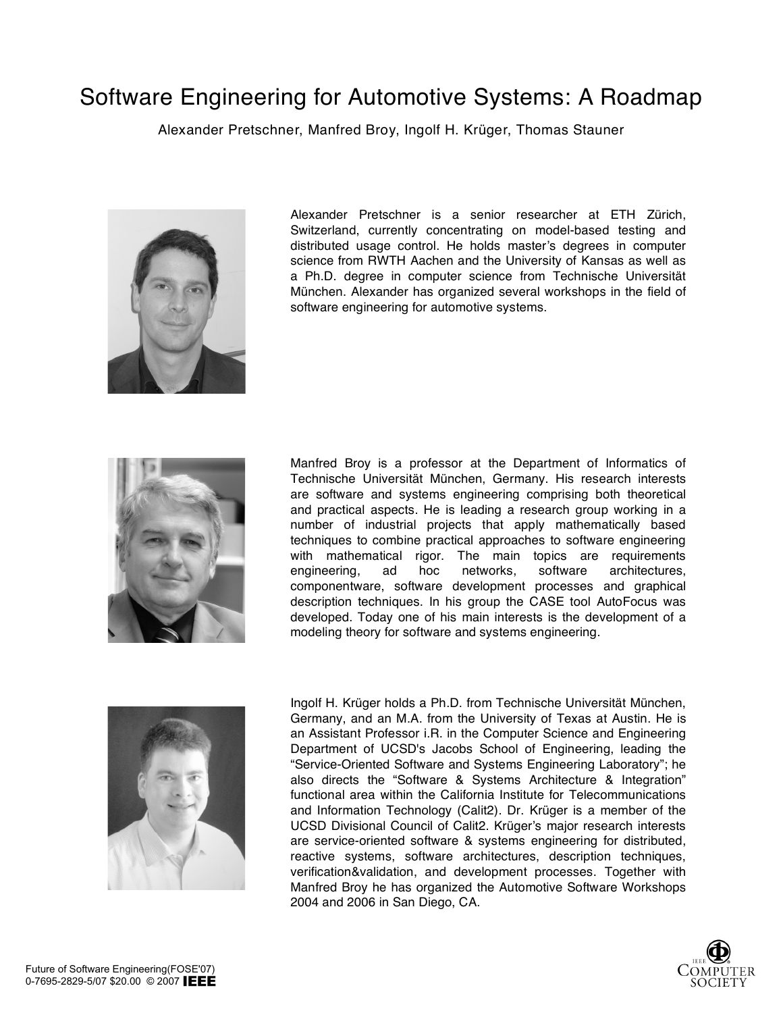# Software Engineering for Automotive Systems: A Roadmap

Alexander Pretschner, Manfred Broy, Ingolf H. Krüger, Thomas Stauner



Alexander Pretschner is a senior researcher at ETH Zürich, Switzerland, currently concentrating on model-based testing and distributed usage control. He holds master's degrees in computer science from RWTH Aachen and the University of Kansas as well as a Ph.D. degree in computer science from Technische Universität München. Alexander has organized several workshops in the field of software engineering for automotive systems.



Manfred Broy is a professor at the Department of Informatics of Technische Universität München, Germany. His research interests are software and systems engineering comprising both theoretical and practical aspects. He is leading a research group working in a number of industrial projects that apply mathematically based techniques to combine practical approaches to software engineering with mathematical rigor. The main topics are requirements engineering, ad hoc networks, software architectures, componentware, software development processes and graphical description techniques. In his group the CASE tool AutoFocus was developed. Today one of his main interests is the development of a modeling theory for software and systems engineering.



Ingolf H. Krüger holds a Ph.D. from Technische Universität München, Germany, and an M.A. from the University of Texas at Austin. He is an Assistant Professor i.R. in the Computer Science and Engineering Department of UCSD's Jacobs School of Engineering, leading the "Service-Oriented Software and Systems Engineering Laboratory"; he also directs the "Software & Systems Architecture & Integration" functional area within the California Institute for Telecommunications and Information Technology (Calit2). Dr. Krüger is a member of the UCSD Divisional Council of Calit2. Krüger's major research interests are service-oriented software & systems engineering for distributed, reactive systems, software architectures, description techniques, verification&validation, and development processes. Together with Manfred Broy he has organized the Automotive Software Workshops 2004 and 2006 in San Diego, CA.

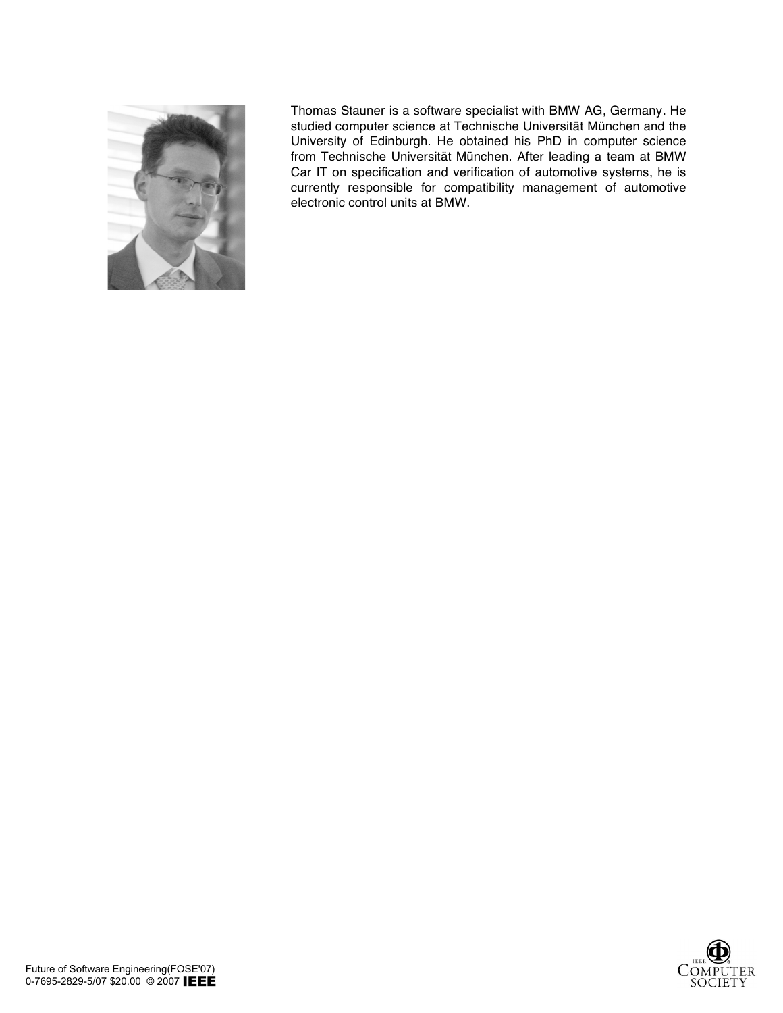

Thomas Stauner is a software specialist with BMW AG, Germany. He studied computer science at Technische Universität München and the University of Edinburgh. He obtained his PhD in computer science from Technische Universität München. After leading a team at BMW Car IT on specification and verification of automotive systems, he is currently responsible for compatibility management of automotive electronic control units at BMW.

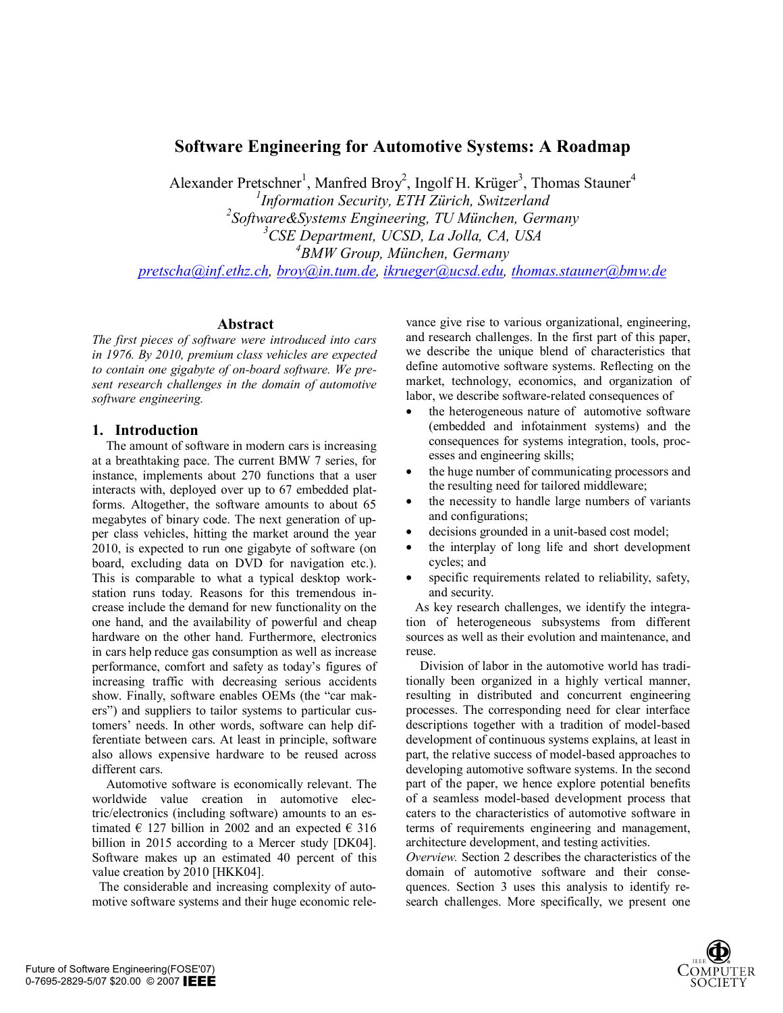# **Software Engineering for Automotive Systems: A Roadmap**

Alexander Pretschner<sup>1</sup>, Manfred Broy<sup>2</sup>, Ingolf H. Krüger<sup>3</sup>, Thomas Stauner<sup>4</sup>

*1 Information Security, ETH Zürich, Switzerland 2 Software&Systems Engineering, TU München, Germany 3 CSE Department, UCSD, La Jolla, CA, USA 4 BMW Group, München, Germany* 

*pretscha@inf.ethz.ch, broy@in.tum.de, ikrueger@ucsd.edu, thomas.stauner@bmw.de* 

# **Abstract**

*The first pieces of software were introduced into cars in 1976. By 2010, premium class vehicles are expected to contain one gigabyte of on-board software. We present research challenges in the domain of automotive software engineering.* 

# **1. Introduction**

The amount of software in modern cars is increasing at a breathtaking pace. The current BMW 7 series, for instance, implements about 270 functions that a user interacts with, deployed over up to 67 embedded platforms. Altogether, the software amounts to about 65 megabytes of binary code. The next generation of upper class vehicles, hitting the market around the year 2010, is expected to run one gigabyte of software (on board, excluding data on DVD for navigation etc.). This is comparable to what a typical desktop workstation runs today. Reasons for this tremendous increase include the demand for new functionality on the one hand, and the availability of powerful and cheap hardware on the other hand. Furthermore, electronics in cars help reduce gas consumption as well as increase performance, comfort and safety as today's figures of increasing traffic with decreasing serious accidents show. Finally, software enables OEMs (the "car makers") and suppliers to tailor systems to particular customers' needs. In other words, software can help differentiate between cars. At least in principle, software also allows expensive hardware to be reused across different cars.

Automotive software is economically relevant. The worldwide value creation in automotive electric/electronics (including software) amounts to an estimated  $\in$  127 billion in 2002 and an expected  $\in$  316 billion in 2015 according to a Mercer study [DK04]. Software makes up an estimated 40 percent of this value creation by 2010 [HKK04].

The considerable and increasing complexity of automotive software systems and their huge economic relevance give rise to various organizational, engineering, and research challenges. In the first part of this paper, we describe the unique blend of characteristics that define automotive software systems. Reflecting on the market, technology, economics, and organization of labor, we describe software-related consequences of

- the heterogeneous nature of automotive software (embedded and infotainment systems) and the consequences for systems integration, tools, processes and engineering skills;
- the huge number of communicating processors and the resulting need for tailored middleware;
- the necessity to handle large numbers of variants and configurations;
- decisions grounded in a unit-based cost model;
- the interplay of long life and short development cycles; and
- specific requirements related to reliability, safety, and security.

As key research challenges, we identify the integration of heterogeneous subsystems from different sources as well as their evolution and maintenance, and reuse.

Division of labor in the automotive world has traditionally been organized in a highly vertical manner, resulting in distributed and concurrent engineering processes. The corresponding need for clear interface descriptions together with a tradition of model-based development of continuous systems explains, at least in part, the relative success of model-based approaches to developing automotive software systems. In the second part of the paper, we hence explore potential benefits of a seamless model-based development process that caters to the characteristics of automotive software in terms of requirements engineering and management, architecture development, and testing activities.

*Overview.* Section 2 describes the characteristics of the domain of automotive software and their consequences. Section 3 uses this analysis to identify research challenges. More specifically, we present one

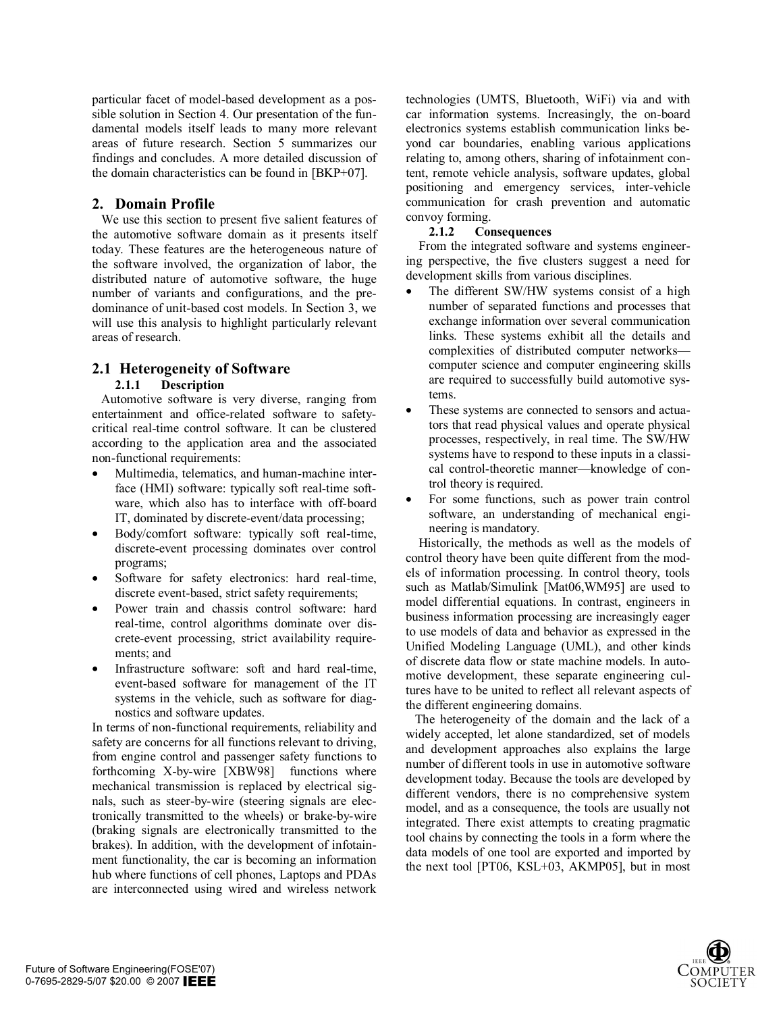particular facet of model-based development as a possible solution in Section 4. Our presentation of the fundamental models itself leads to many more relevant areas of future research. Section 5 summarizes our findings and concludes. A more detailed discussion of the domain characteristics can be found in [BKP+07].

# **2. Domain Profile**

We use this section to present five salient features of the automotive software domain as it presents itself today. These features are the heterogeneous nature of the software involved, the organization of labor, the distributed nature of automotive software, the huge number of variants and configurations, and the predominance of unit-based cost models. In Section 3, we will use this analysis to highlight particularly relevant areas of research.

# **2.1 Heterogeneity of Software**

## **2.1.1 Description**

Automotive software is very diverse, ranging from entertainment and office-related software to safetycritical real-time control software. It can be clustered according to the application area and the associated non-functional requirements:

- Multimedia, telematics, and human-machine interface (HMI) software: typically soft real-time software, which also has to interface with off-board IT, dominated by discrete-event/data processing;
- Body/comfort software: typically soft real-time, discrete-event processing dominates over control programs;
- Software for safety electronics: hard real-time, discrete event-based, strict safety requirements;
- Power train and chassis control software: hard real-time, control algorithms dominate over discrete-event processing, strict availability requirements; and
- Infrastructure software: soft and hard real-time, event-based software for management of the IT systems in the vehicle, such as software for diagnostics and software updates.

In terms of non-functional requirements, reliability and safety are concerns for all functions relevant to driving, from engine control and passenger safety functions to forthcoming X-by-wire [XBW98] functions where mechanical transmission is replaced by electrical signals, such as steer-by-wire (steering signals are electronically transmitted to the wheels) or brake-by-wire (braking signals are electronically transmitted to the brakes). In addition, with the development of infotainment functionality, the car is becoming an information hub where functions of cell phones, Laptops and PDAs are interconnected using wired and wireless network

technologies (UMTS, Bluetooth, WiFi) via and with car information systems. Increasingly, the on-board electronics systems establish communication links beyond car boundaries, enabling various applications relating to, among others, sharing of infotainment content, remote vehicle analysis, software updates, global positioning and emergency services, inter-vehicle communication for crash prevention and automatic convoy forming.

# **2.1.2 Consequences**

From the integrated software and systems engineering perspective, the five clusters suggest a need for development skills from various disciplines.

- The different SW/HW systems consist of a high number of separated functions and processes that exchange information over several communication links. These systems exhibit all the details and complexities of distributed computer networks computer science and computer engineering skills are required to successfully build automotive systems.
- These systems are connected to sensors and actuators that read physical values and operate physical processes, respectively, in real time. The SW/HW systems have to respond to these inputs in a classical control-theoretic manner—knowledge of control theory is required.
- For some functions, such as power train control software, an understanding of mechanical engineering is mandatory.

Historically, the methods as well as the models of control theory have been quite different from the models of information processing. In control theory, tools such as Matlab/Simulink [Mat06,WM95] are used to model differential equations. In contrast, engineers in business information processing are increasingly eager to use models of data and behavior as expressed in the Unified Modeling Language (UML), and other kinds of discrete data flow or state machine models. In automotive development, these separate engineering cultures have to be united to reflect all relevant aspects of the different engineering domains.

The heterogeneity of the domain and the lack of a widely accepted, let alone standardized, set of models and development approaches also explains the large number of different tools in use in automotive software development today. Because the tools are developed by different vendors, there is no comprehensive system model, and as a consequence, the tools are usually not integrated. There exist attempts to creating pragmatic tool chains by connecting the tools in a form where the data models of one tool are exported and imported by the next tool [PT06, KSL+03, AKMP05], but in most

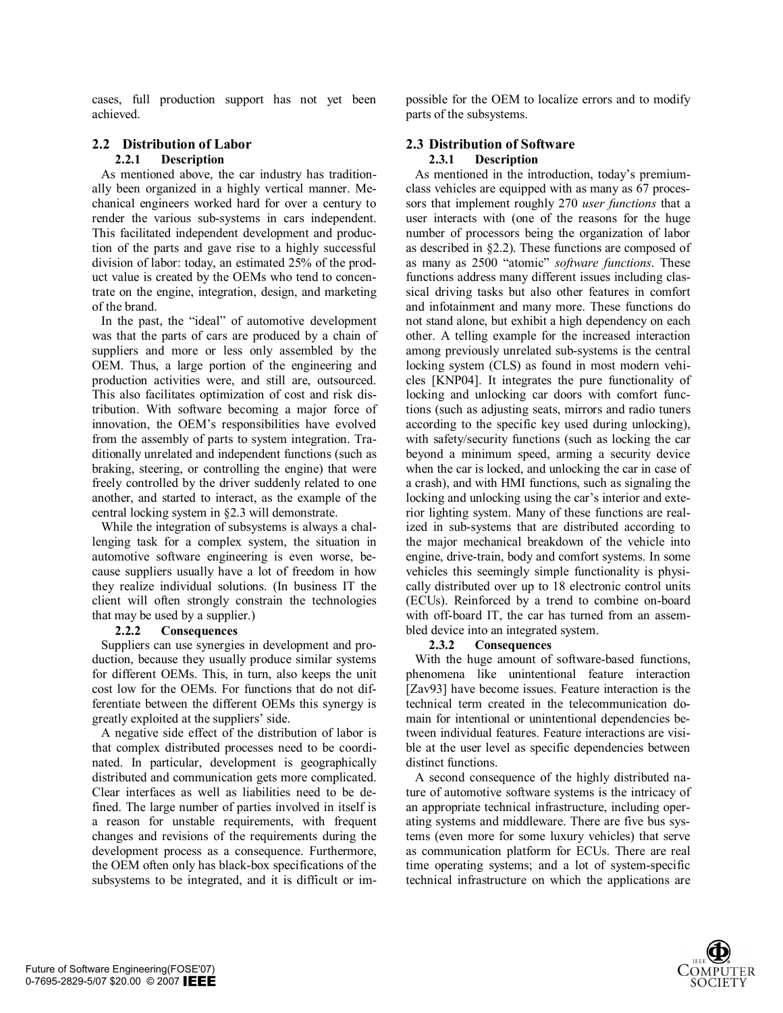cases, full production support has not yet been achieved.

# **2.2 Distribution of Labor 2.2.1 Description**

As mentioned above, the car industry has traditionally been organized in a highly vertical manner. Mechanical engineers worked hard for over a century to render the various sub-systems in cars independent. This facilitated independent development and production of the parts and gave rise to a highly successful division of labor: today, an estimated 25% of the product value is created by the OEMs who tend to concentrate on the engine, integration, design, and marketing of the brand.

In the past, the "ideal" of automotive development was that the parts of cars are produced by a chain of suppliers and more or less only assembled by the OEM. Thus, a large portion of the engineering and production activities were, and still are, outsourced. This also facilitates optimization of cost and risk distribution. With software becoming a major force of innovation, the OEM's responsibilities have evolved from the assembly of parts to system integration. Traditionally unrelated and independent functions (such as braking, steering, or controlling the engine) that were freely controlled by the driver suddenly related to one another, and started to interact, as the example of the central locking system in §2.3 will demonstrate.

While the integration of subsystems is always a challenging task for a complex system, the situation in automotive software engineering is even worse, because suppliers usually have a lot of freedom in how they realize individual solutions. (In business IT the client will often strongly constrain the technologies that may be used by a supplier.)

## **2.2.2 Consequences**

Suppliers can use synergies in development and production, because they usually produce similar systems for different OEMs. This, in turn, also keeps the unit cost low for the OEMs. For functions that do not differentiate between the different OEMs this synergy is greatly exploited at the suppliers' side.

A negative side effect of the distribution of labor is that complex distributed processes need to be coordinated. In particular, development is geographically distributed and communication gets more complicated. Clear interfaces as well as liabilities need to be defined. The large number of parties involved in itself is a reason for unstable requirements, with frequent changes and revisions of the requirements during the development process as a consequence. Furthermore, the OEM often only has black-box specifications of the subsystems to be integrated, and it is difficult or im-

possible for the OEM to localize errors and to modify parts of the subsystems.

# **2.3 Distribution of Software 2.3.1 Description**

As mentioned in the introduction, today's premiumclass vehicles are equipped with as many as 67 processors that implement roughly 270 *user functions* that a user interacts with (one of the reasons for the huge number of processors being the organization of labor as described in §2.2). These functions are composed of as many as 2500 "atomic" *software functions*. These functions address many different issues including classical driving tasks but also other features in comfort and infotainment and many more. These functions do not stand alone, but exhibit a high dependency on each other. A telling example for the increased interaction among previously unrelated sub-systems is the central locking system (CLS) as found in most modern vehicles [KNP04]. It integrates the pure functionality of locking and unlocking car doors with comfort functions (such as adjusting seats, mirrors and radio tuners according to the specific key used during unlocking), with safety/security functions (such as locking the car beyond a minimum speed, arming a security device when the car is locked, and unlocking the car in case of a crash), and with HMI functions, such as signaling the locking and unlocking using the car's interior and exterior lighting system. Many of these functions are realized in sub-systems that are distributed according to the major mechanical breakdown of the vehicle into engine, drive-train, body and comfort systems. In some vehicles this seemingly simple functionality is physically distributed over up to 18 electronic control units (ECUs). Reinforced by a trend to combine on-board with off-board IT, the car has turned from an assembled device into an integrated system.

## **2.3.2 Consequences**

With the huge amount of software-based functions, phenomena like unintentional feature interaction [Zav93] have become issues. Feature interaction is the technical term created in the telecommunication domain for intentional or unintentional dependencies between individual features. Feature interactions are visible at the user level as specific dependencies between distinct functions.

A second consequence of the highly distributed nature of automotive software systems is the intricacy of an appropriate technical infrastructure, including operating systems and middleware. There are five bus systems (even more for some luxury vehicles) that serve as communication platform for ECUs. There are real time operating systems; and a lot of system-specific technical infrastructure on which the applications are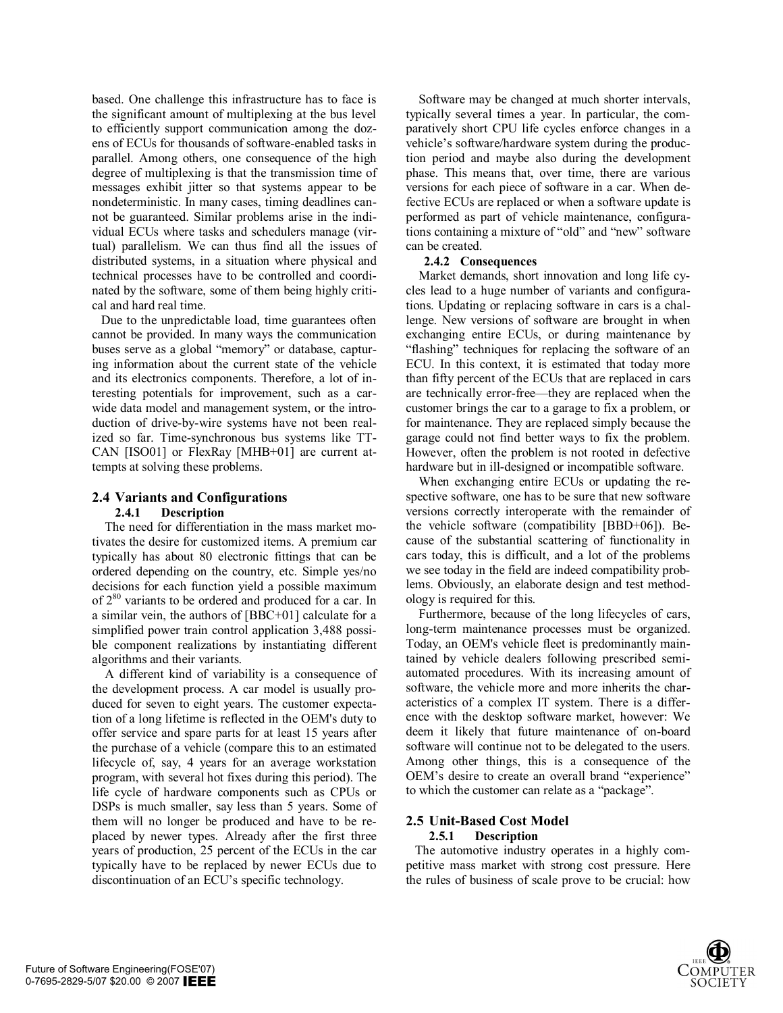based. One challenge this infrastructure has to face is the significant amount of multiplexing at the bus level to efficiently support communication among the dozens of ECUs for thousands of software-enabled tasks in parallel. Among others, one consequence of the high degree of multiplexing is that the transmission time of messages exhibit jitter so that systems appear to be nondeterministic. In many cases, timing deadlines cannot be guaranteed. Similar problems arise in the individual ECUs where tasks and schedulers manage (virtual) parallelism. We can thus find all the issues of distributed systems, in a situation where physical and technical processes have to be controlled and coordinated by the software, some of them being highly critical and hard real time.

Due to the unpredictable load, time guarantees often cannot be provided. In many ways the communication buses serve as a global "memory" or database, capturing information about the current state of the vehicle and its electronics components. Therefore, a lot of interesting potentials for improvement, such as a carwide data model and management system, or the introduction of drive-by-wire systems have not been realized so far. Time-synchronous bus systems like TT-CAN [ISO01] or FlexRay [MHB+01] are current attempts at solving these problems.

#### **2.4 Variants and Configurations**

#### **2.4.1 Description**

The need for differentiation in the mass market motivates the desire for customized items. A premium car typically has about 80 electronic fittings that can be ordered depending on the country, etc. Simple yes/no decisions for each function yield a possible maximum of  $2^{80}$  variants to be ordered and produced for a car. In a similar vein, the authors of [BBC+01] calculate for a simplified power train control application 3,488 possible component realizations by instantiating different algorithms and their variants.

A different kind of variability is a consequence of the development process. A car model is usually produced for seven to eight years. The customer expectation of a long lifetime is reflected in the OEM's duty to offer service and spare parts for at least 15 years after the purchase of a vehicle (compare this to an estimated lifecycle of, say, 4 years for an average workstation program, with several hot fixes during this period). The life cycle of hardware components such as CPUs or DSPs is much smaller, say less than 5 years. Some of them will no longer be produced and have to be replaced by newer types. Already after the first three years of production, 25 percent of the ECUs in the car typically have to be replaced by newer ECUs due to discontinuation of an ECU's specific technology.

Software may be changed at much shorter intervals, typically several times a year. In particular, the comparatively short CPU life cycles enforce changes in a vehicle's software/hardware system during the production period and maybe also during the development phase. This means that, over time, there are various versions for each piece of software in a car. When defective ECUs are replaced or when a software update is performed as part of vehicle maintenance, configurations containing a mixture of "old" and "new" software can be created.

#### **2.4.2 Consequences**

Market demands, short innovation and long life cycles lead to a huge number of variants and configurations. Updating or replacing software in cars is a challenge. New versions of software are brought in when exchanging entire ECUs, or during maintenance by "flashing" techniques for replacing the software of an ECU. In this context, it is estimated that today more than fifty percent of the ECUs that are replaced in cars are technically error-free—they are replaced when the customer brings the car to a garage to fix a problem, or for maintenance. They are replaced simply because the garage could not find better ways to fix the problem. However, often the problem is not rooted in defective hardware but in ill-designed or incompatible software.

When exchanging entire ECUs or updating the respective software, one has to be sure that new software versions correctly interoperate with the remainder of the vehicle software (compatibility [BBD+06]). Because of the substantial scattering of functionality in cars today, this is difficult, and a lot of the problems we see today in the field are indeed compatibility problems. Obviously, an elaborate design and test methodology is required for this.

Furthermore, because of the long lifecycles of cars, long-term maintenance processes must be organized. Today, an OEM's vehicle fleet is predominantly maintained by vehicle dealers following prescribed semiautomated procedures. With its increasing amount of software, the vehicle more and more inherits the characteristics of a complex IT system. There is a difference with the desktop software market, however: We deem it likely that future maintenance of on-board software will continue not to be delegated to the users. Among other things, this is a consequence of the OEM's desire to create an overall brand "experience" to which the customer can relate as a "package".

#### **2.5 Unit-Based Cost Model 2.5.1 Description**

The automotive industry operates in a highly competitive mass market with strong cost pressure. Here the rules of business of scale prove to be crucial: how

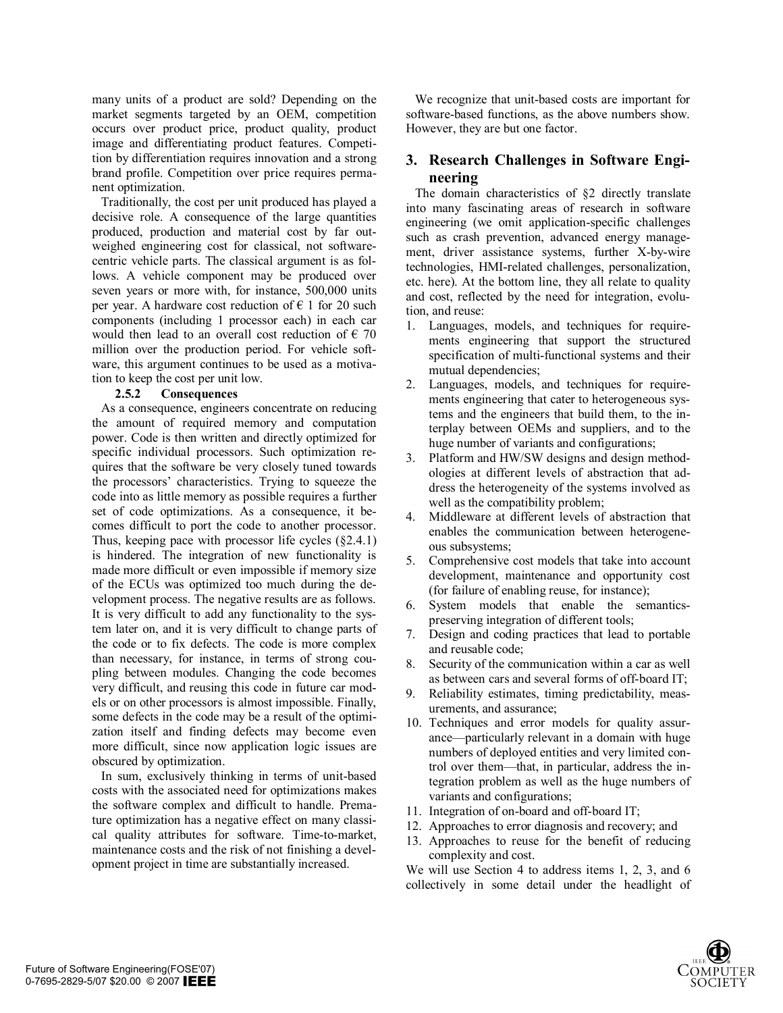many units of a product are sold? Depending on the market segments targeted by an OEM, competition occurs over product price, product quality, product image and differentiating product features. Competition by differentiation requires innovation and a strong brand profile. Competition over price requires permanent optimization.

Traditionally, the cost per unit produced has played a decisive role. A consequence of the large quantities produced, production and material cost by far outweighed engineering cost for classical, not softwarecentric vehicle parts. The classical argument is as follows. A vehicle component may be produced over seven years or more with, for instance, 500,000 units per year. A hardware cost reduction of  $\epsilon$  1 for 20 such components (including 1 processor each) in each car would then lead to an overall cost reduction of  $\epsilon$  70 million over the production period. For vehicle software, this argument continues to be used as a motivation to keep the cost per unit low.

## **2.5.2 Consequences**

As a consequence, engineers concentrate on reducing the amount of required memory and computation power. Code is then written and directly optimized for specific individual processors. Such optimization requires that the software be very closely tuned towards the processors' characteristics. Trying to squeeze the code into as little memory as possible requires a further set of code optimizations. As a consequence, it becomes difficult to port the code to another processor. Thus, keeping pace with processor life cycles  $(\S2.4.1)$ is hindered. The integration of new functionality is made more difficult or even impossible if memory size of the ECUs was optimized too much during the development process. The negative results are as follows. It is very difficult to add any functionality to the system later on, and it is very difficult to change parts of the code or to fix defects. The code is more complex than necessary, for instance, in terms of strong coupling between modules. Changing the code becomes very difficult, and reusing this code in future car models or on other processors is almost impossible. Finally, some defects in the code may be a result of the optimization itself and finding defects may become even more difficult, since now application logic issues are obscured by optimization.

In sum, exclusively thinking in terms of unit-based costs with the associated need for optimizations makes the software complex and difficult to handle. Premature optimization has a negative effect on many classical quality attributes for software. Time-to-market, maintenance costs and the risk of not finishing a development project in time are substantially increased.

We recognize that unit-based costs are important for software-based functions, as the above numbers show. However, they are but one factor.

# **3. Research Challenges in Software Engineering**

The domain characteristics of §2 directly translate into many fascinating areas of research in software engineering (we omit application-specific challenges such as crash prevention, advanced energy management, driver assistance systems, further X-by-wire technologies, HMI-related challenges, personalization, etc. here). At the bottom line, they all relate to quality and cost, reflected by the need for integration, evolution, and reuse:

- 1. Languages, models, and techniques for requirements engineering that support the structured specification of multi-functional systems and their mutual dependencies;
- 2. Languages, models, and techniques for requirements engineering that cater to heterogeneous systems and the engineers that build them, to the interplay between OEMs and suppliers, and to the huge number of variants and configurations;
- 3. Platform and HW/SW designs and design methodologies at different levels of abstraction that address the heterogeneity of the systems involved as well as the compatibility problem;
- 4. Middleware at different levels of abstraction that enables the communication between heterogeneous subsystems;
- 5. Comprehensive cost models that take into account development, maintenance and opportunity cost (for failure of enabling reuse, for instance);
- 6. System models that enable the semanticspreserving integration of different tools;
- 7. Design and coding practices that lead to portable and reusable code;
- 8. Security of the communication within a car as well as between cars and several forms of off-board IT;
- 9. Reliability estimates, timing predictability, measurements, and assurance;
- 10. Techniques and error models for quality assurance—particularly relevant in a domain with huge numbers of deployed entities and very limited control over them—that, in particular, address the integration problem as well as the huge numbers of variants and configurations;
- 11. Integration of on-board and off-board IT;
- 12. Approaches to error diagnosis and recovery; and
- 13. Approaches to reuse for the benefit of reducing complexity and cost.

We will use Section 4 to address items 1, 2, 3, and 6 collectively in some detail under the headlight of

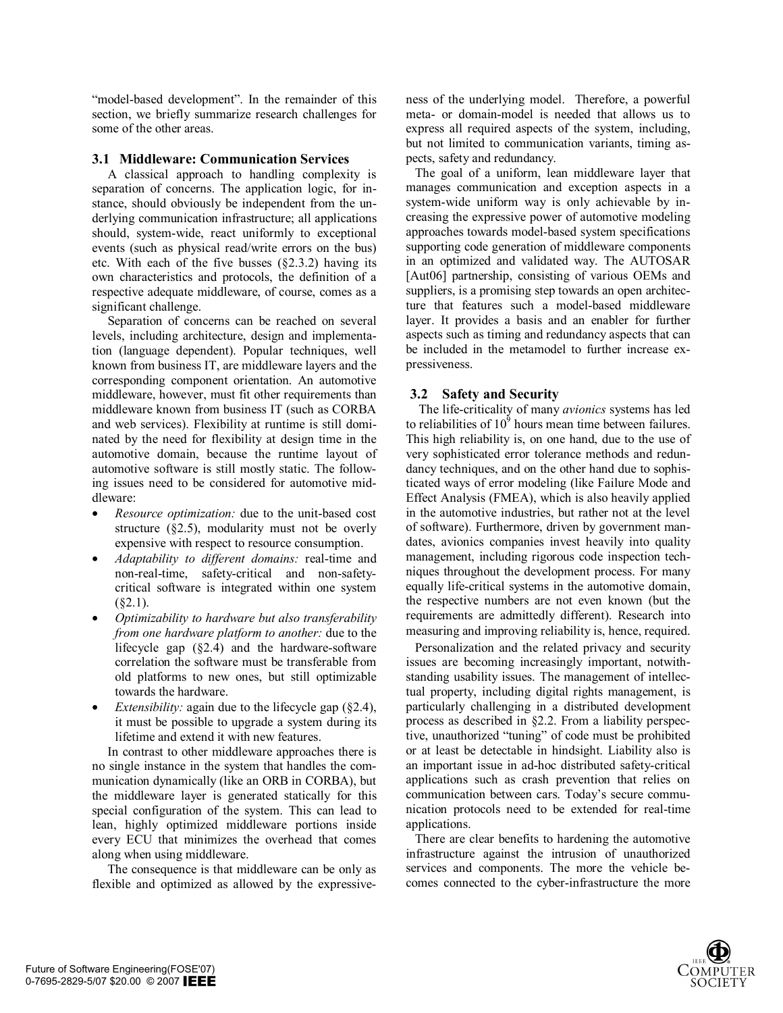"model-based development". In the remainder of this section, we briefly summarize research challenges for some of the other areas.

# **3.1 Middleware: Communication Services**

A classical approach to handling complexity is separation of concerns. The application logic, for instance, should obviously be independent from the underlying communication infrastructure; all applications should, system-wide, react uniformly to exceptional events (such as physical read/write errors on the bus) etc. With each of the five busses (§2.3.2) having its own characteristics and protocols, the definition of a respective adequate middleware, of course, comes as a significant challenge.

Separation of concerns can be reached on several levels, including architecture, design and implementation (language dependent). Popular techniques, well known from business IT, are middleware layers and the corresponding component orientation. An automotive middleware, however, must fit other requirements than middleware known from business IT (such as CORBA and web services). Flexibility at runtime is still dominated by the need for flexibility at design time in the automotive domain, because the runtime layout of automotive software is still mostly static. The following issues need to be considered for automotive middleware:

- *Resource optimization:* due to the unit-based cost structure (§2.5), modularity must not be overly expensive with respect to resource consumption.
- *Adaptability to different domains:* real-time and non-real-time, safety-critical and non-safetycritical software is integrated within one system  $(\$2.1)$ .
- *Optimizability to hardware but also transferability from one hardware platform to another:* due to the lifecycle gap  $(\S2.4)$  and the hardware-software correlation the software must be transferable from old platforms to new ones, but still optimizable towards the hardware.
- *Extensibility:* again due to the lifecycle gap (§2.4), it must be possible to upgrade a system during its lifetime and extend it with new features.

In contrast to other middleware approaches there is no single instance in the system that handles the communication dynamically (like an ORB in CORBA), but the middleware layer is generated statically for this special configuration of the system. This can lead to lean, highly optimized middleware portions inside every ECU that minimizes the overhead that comes along when using middleware.

The consequence is that middleware can be only as flexible and optimized as allowed by the expressiveness of the underlying model. Therefore, a powerful meta- or domain-model is needed that allows us to express all required aspects of the system, including, but not limited to communication variants, timing aspects, safety and redundancy.

The goal of a uniform, lean middleware layer that manages communication and exception aspects in a system-wide uniform way is only achievable by increasing the expressive power of automotive modeling approaches towards model-based system specifications supporting code generation of middleware components in an optimized and validated way. The AUTOSAR [Aut06] partnership, consisting of various OEMs and suppliers, is a promising step towards an open architecture that features such a model-based middleware layer. It provides a basis and an enabler for further aspects such as timing and redundancy aspects that can be included in the metamodel to further increase expressiveness.

# **3.2 Safety and Security**

The life-criticality of many *avionics* systems has led to reliabilities of  $10<sup>9</sup>$  hours mean time between failures. This high reliability is, on one hand, due to the use of very sophisticated error tolerance methods and redundancy techniques, and on the other hand due to sophisticated ways of error modeling (like Failure Mode and Effect Analysis (FMEA), which is also heavily applied in the automotive industries, but rather not at the level of software). Furthermore, driven by government mandates, avionics companies invest heavily into quality management, including rigorous code inspection techniques throughout the development process. For many equally life-critical systems in the automotive domain, the respective numbers are not even known (but the requirements are admittedly different). Research into measuring and improving reliability is, hence, required.

Personalization and the related privacy and security issues are becoming increasingly important, notwithstanding usability issues. The management of intellectual property, including digital rights management, is particularly challenging in a distributed development process as described in §2.2. From a liability perspective, unauthorized "tuning" of code must be prohibited or at least be detectable in hindsight. Liability also is an important issue in ad-hoc distributed safety-critical applications such as crash prevention that relies on communication between cars. Today's secure communication protocols need to be extended for real-time applications.

There are clear benefits to hardening the automotive infrastructure against the intrusion of unauthorized services and components. The more the vehicle becomes connected to the cyber-infrastructure the more

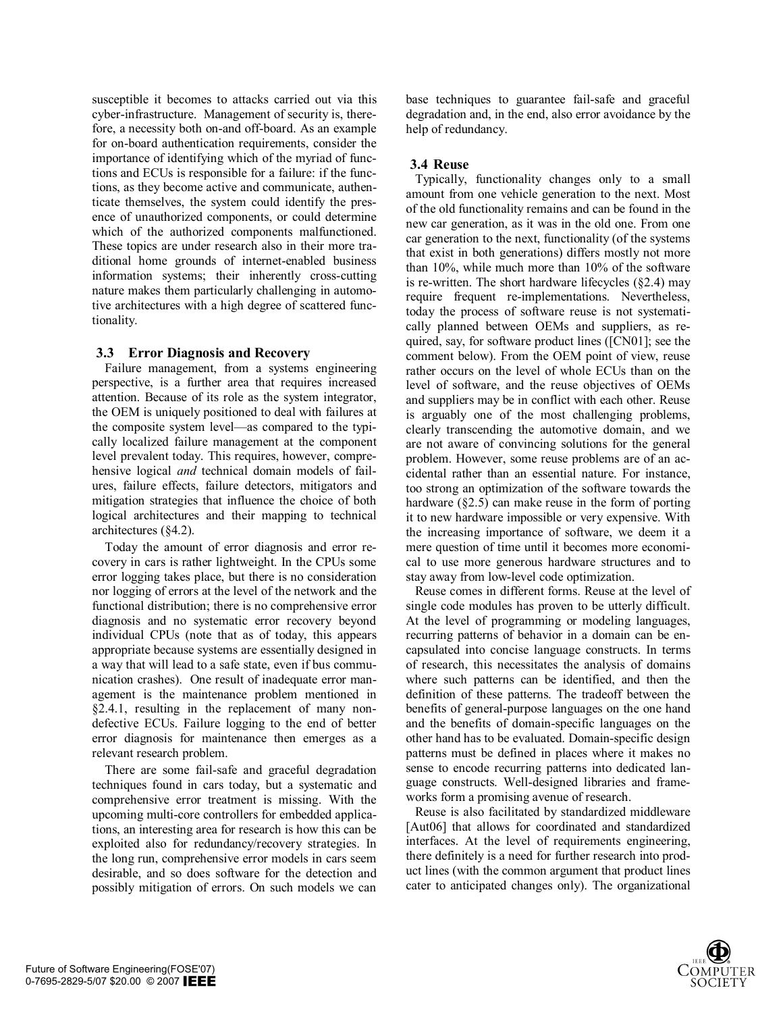susceptible it becomes to attacks carried out via this cyber-infrastructure. Management of security is, therefore, a necessity both on-and off-board. As an example for on-board authentication requirements, consider the importance of identifying which of the myriad of functions and ECUs is responsible for a failure: if the functions, as they become active and communicate, authenticate themselves, the system could identify the presence of unauthorized components, or could determine which of the authorized components malfunctioned. These topics are under research also in their more traditional home grounds of internet-enabled business information systems; their inherently cross-cutting nature makes them particularly challenging in automotive architectures with a high degree of scattered functionality.

## **3.3 Error Diagnosis and Recovery**

Failure management, from a systems engineering perspective, is a further area that requires increased attention. Because of its role as the system integrator, the OEM is uniquely positioned to deal with failures at the composite system level—as compared to the typically localized failure management at the component level prevalent today. This requires, however, comprehensive logical *and* technical domain models of failures, failure effects, failure detectors, mitigators and mitigation strategies that influence the choice of both logical architectures and their mapping to technical architectures (§4.2).

Today the amount of error diagnosis and error recovery in cars is rather lightweight. In the CPUs some error logging takes place, but there is no consideration nor logging of errors at the level of the network and the functional distribution; there is no comprehensive error diagnosis and no systematic error recovery beyond individual CPUs (note that as of today, this appears appropriate because systems are essentially designed in a way that will lead to a safe state, even if bus communication crashes). One result of inadequate error management is the maintenance problem mentioned in §2.4.1, resulting in the replacement of many nondefective ECUs. Failure logging to the end of better error diagnosis for maintenance then emerges as a relevant research problem.

There are some fail-safe and graceful degradation techniques found in cars today, but a systematic and comprehensive error treatment is missing. With the upcoming multi-core controllers for embedded applications, an interesting area for research is how this can be exploited also for redundancy/recovery strategies. In the long run, comprehensive error models in cars seem desirable, and so does software for the detection and possibly mitigation of errors. On such models we can

base techniques to guarantee fail-safe and graceful degradation and, in the end, also error avoidance by the help of redundancy.

## **3.4 Reuse**

Typically, functionality changes only to a small amount from one vehicle generation to the next. Most of the old functionality remains and can be found in the new car generation, as it was in the old one. From one car generation to the next, functionality (of the systems that exist in both generations) differs mostly not more than 10%, while much more than 10% of the software is re-written. The short hardware lifecycles (§2.4) may require frequent re-implementations. Nevertheless, today the process of software reuse is not systematically planned between OEMs and suppliers, as required, say, for software product lines ([CN01]; see the comment below). From the OEM point of view, reuse rather occurs on the level of whole ECUs than on the level of software, and the reuse objectives of OEMs and suppliers may be in conflict with each other. Reuse is arguably one of the most challenging problems, clearly transcending the automotive domain, and we are not aware of convincing solutions for the general problem. However, some reuse problems are of an accidental rather than an essential nature. For instance, too strong an optimization of the software towards the hardware (§2.5) can make reuse in the form of porting it to new hardware impossible or very expensive. With the increasing importance of software, we deem it a mere question of time until it becomes more economical to use more generous hardware structures and to stay away from low-level code optimization.

Reuse comes in different forms. Reuse at the level of single code modules has proven to be utterly difficult. At the level of programming or modeling languages, recurring patterns of behavior in a domain can be encapsulated into concise language constructs. In terms of research, this necessitates the analysis of domains where such patterns can be identified, and then the definition of these patterns. The tradeoff between the benefits of general-purpose languages on the one hand and the benefits of domain-specific languages on the other hand has to be evaluated. Domain-specific design patterns must be defined in places where it makes no sense to encode recurring patterns into dedicated language constructs. Well-designed libraries and frameworks form a promising avenue of research.

Reuse is also facilitated by standardized middleware [Aut06] that allows for coordinated and standardized interfaces. At the level of requirements engineering, there definitely is a need for further research into product lines (with the common argument that product lines cater to anticipated changes only). The organizational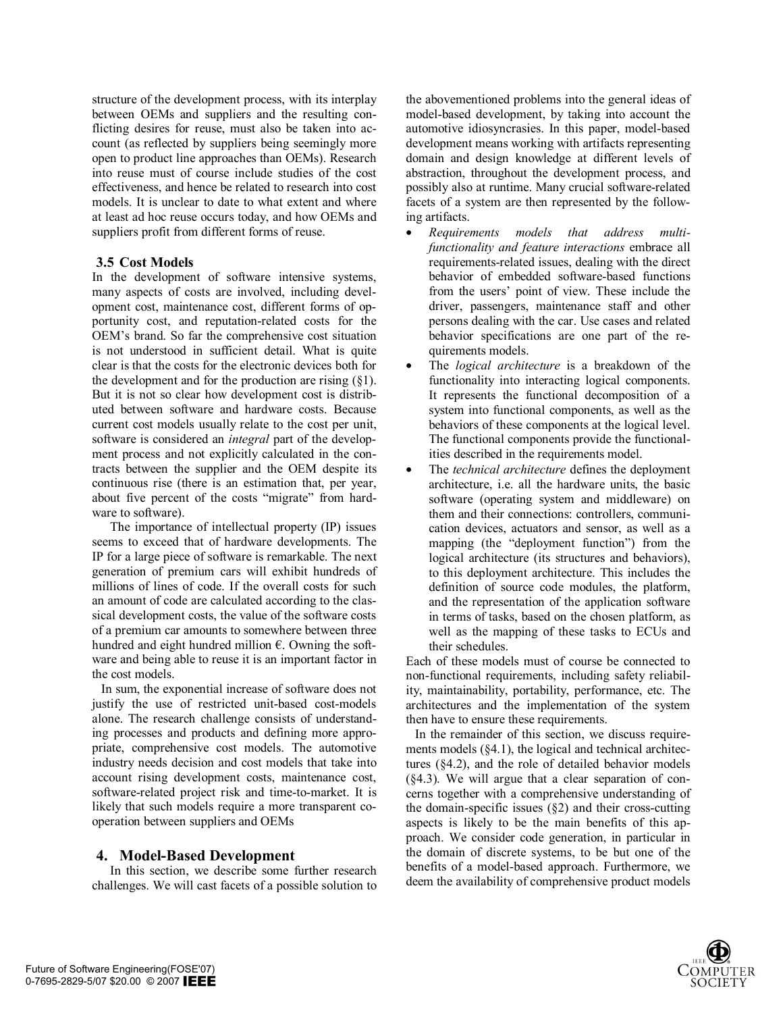structure of the development process, with its interplay between OEMs and suppliers and the resulting conflicting desires for reuse, must also be taken into account (as reflected by suppliers being seemingly more open to product line approaches than OEMs). Research into reuse must of course include studies of the cost effectiveness, and hence be related to research into cost models. It is unclear to date to what extent and where at least ad hoc reuse occurs today, and how OEMs and suppliers profit from different forms of reuse.

## **3.5 Cost Models**

In the development of software intensive systems, many aspects of costs are involved, including development cost, maintenance cost, different forms of opportunity cost, and reputation-related costs for the OEM's brand. So far the comprehensive cost situation is not understood in sufficient detail. What is quite clear is that the costs for the electronic devices both for the development and for the production are rising  $(\S1)$ . But it is not so clear how development cost is distributed between software and hardware costs. Because current cost models usually relate to the cost per unit, software is considered an *integral* part of the development process and not explicitly calculated in the contracts between the supplier and the OEM despite its continuous rise (there is an estimation that, per year, about five percent of the costs "migrate" from hardware to software).

The importance of intellectual property (IP) issues seems to exceed that of hardware developments. The IP for a large piece of software is remarkable. The next generation of premium cars will exhibit hundreds of millions of lines of code. If the overall costs for such an amount of code are calculated according to the classical development costs, the value of the software costs of a premium car amounts to somewhere between three hundred and eight hundred million  $\epsilon$ . Owning the software and being able to reuse it is an important factor in the cost models.

In sum, the exponential increase of software does not justify the use of restricted unit-based cost-models alone. The research challenge consists of understanding processes and products and defining more appropriate, comprehensive cost models. The automotive industry needs decision and cost models that take into account rising development costs, maintenance cost, software-related project risk and time-to-market. It is likely that such models require a more transparent cooperation between suppliers and OEMs

# **4. Model-Based Development**

In this section, we describe some further research challenges. We will cast facets of a possible solution to the abovementioned problems into the general ideas of model-based development, by taking into account the automotive idiosyncrasies. In this paper, model-based development means working with artifacts representing domain and design knowledge at different levels of abstraction, throughout the development process, and possibly also at runtime. Many crucial software-related facets of a system are then represented by the following artifacts.

- *Requirements models that address multifunctionality and feature interactions* embrace all requirements-related issues, dealing with the direct behavior of embedded software-based functions from the users' point of view. These include the driver, passengers, maintenance staff and other persons dealing with the car. Use cases and related behavior specifications are one part of the requirements models.
- The *logical architecture* is a breakdown of the functionality into interacting logical components. It represents the functional decomposition of a system into functional components, as well as the behaviors of these components at the logical level. The functional components provide the functionalities described in the requirements model.
- The *technical architecture* defines the deployment architecture, i.e. all the hardware units, the basic software (operating system and middleware) on them and their connections: controllers, communication devices, actuators and sensor, as well as a mapping (the "deployment function") from the logical architecture (its structures and behaviors), to this deployment architecture. This includes the definition of source code modules, the platform, and the representation of the application software in terms of tasks, based on the chosen platform, as well as the mapping of these tasks to ECUs and their schedules.

Each of these models must of course be connected to non-functional requirements, including safety reliability, maintainability, portability, performance, etc. The architectures and the implementation of the system then have to ensure these requirements.

In the remainder of this section, we discuss requirements models (§4.1), the logical and technical architectures (§4.2), and the role of detailed behavior models (§4.3). We will argue that a clear separation of concerns together with a comprehensive understanding of the domain-specific issues  $(\S2)$  and their cross-cutting aspects is likely to be the main benefits of this approach. We consider code generation, in particular in the domain of discrete systems, to be but one of the benefits of a model-based approach. Furthermore, we deem the availability of comprehensive product models

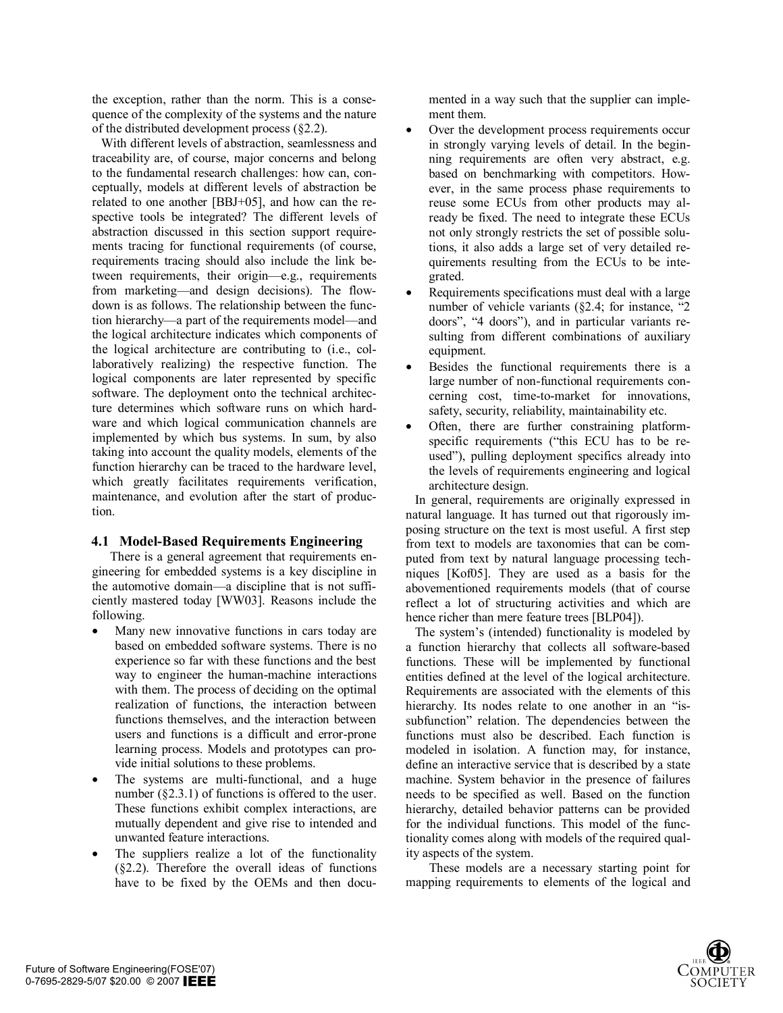the exception, rather than the norm. This is a consequence of the complexity of the systems and the nature of the distributed development process (§2.2).

With different levels of abstraction, seamlessness and traceability are, of course, major concerns and belong to the fundamental research challenges: how can, conceptually, models at different levels of abstraction be related to one another [BBJ+05], and how can the respective tools be integrated? The different levels of abstraction discussed in this section support requirements tracing for functional requirements (of course, requirements tracing should also include the link between requirements, their origin—e.g., requirements from marketing—and design decisions). The flowdown is as follows. The relationship between the function hierarchy—a part of the requirements model—and the logical architecture indicates which components of the logical architecture are contributing to (i.e., collaboratively realizing) the respective function. The logical components are later represented by specific software. The deployment onto the technical architecture determines which software runs on which hardware and which logical communication channels are implemented by which bus systems. In sum, by also taking into account the quality models, elements of the function hierarchy can be traced to the hardware level, which greatly facilitates requirements verification, maintenance, and evolution after the start of production.

# **4.1 Model-Based Requirements Engineering**

There is a general agreement that requirements engineering for embedded systems is a key discipline in the automotive domain—a discipline that is not sufficiently mastered today [WW03]. Reasons include the following.

- Many new innovative functions in cars today are based on embedded software systems. There is no experience so far with these functions and the best way to engineer the human-machine interactions with them. The process of deciding on the optimal realization of functions, the interaction between functions themselves, and the interaction between users and functions is a difficult and error-prone learning process. Models and prototypes can provide initial solutions to these problems.
- The systems are multi-functional, and a huge number (§2.3.1) of functions is offered to the user. These functions exhibit complex interactions, are mutually dependent and give rise to intended and unwanted feature interactions.
- The suppliers realize a lot of the functionality  $(82.2)$ . Therefore the overall ideas of functions have to be fixed by the OEMs and then docu-

mented in a way such that the supplier can implement them.

- Over the development process requirements occur in strongly varying levels of detail. In the beginning requirements are often very abstract, e.g. based on benchmarking with competitors. However, in the same process phase requirements to reuse some ECUs from other products may already be fixed. The need to integrate these ECUs not only strongly restricts the set of possible solutions, it also adds a large set of very detailed requirements resulting from the ECUs to be integrated.
- Requirements specifications must deal with a large number of vehicle variants (§2.4; for instance, "2 doors", "4 doors"), and in particular variants resulting from different combinations of auxiliary equipment.
- Besides the functional requirements there is a large number of non-functional requirements concerning cost, time-to-market for innovations, safety, security, reliability, maintainability etc.
- Often, there are further constraining platformspecific requirements ("this ECU has to be reused"), pulling deployment specifics already into the levels of requirements engineering and logical architecture design.

In general, requirements are originally expressed in natural language. It has turned out that rigorously imposing structure on the text is most useful. A first step from text to models are taxonomies that can be computed from text by natural language processing techniques [Kof05]. They are used as a basis for the abovementioned requirements models (that of course reflect a lot of structuring activities and which are hence richer than mere feature trees [BLP04]).

The system's (intended) functionality is modeled by a function hierarchy that collects all software-based functions. These will be implemented by functional entities defined at the level of the logical architecture. Requirements are associated with the elements of this hierarchy. Its nodes relate to one another in an "issubfunction" relation. The dependencies between the functions must also be described. Each function is modeled in isolation. A function may, for instance, define an interactive service that is described by a state machine. System behavior in the presence of failures needs to be specified as well. Based on the function hierarchy, detailed behavior patterns can be provided for the individual functions. This model of the functionality comes along with models of the required quality aspects of the system.

These models are a necessary starting point for mapping requirements to elements of the logical and

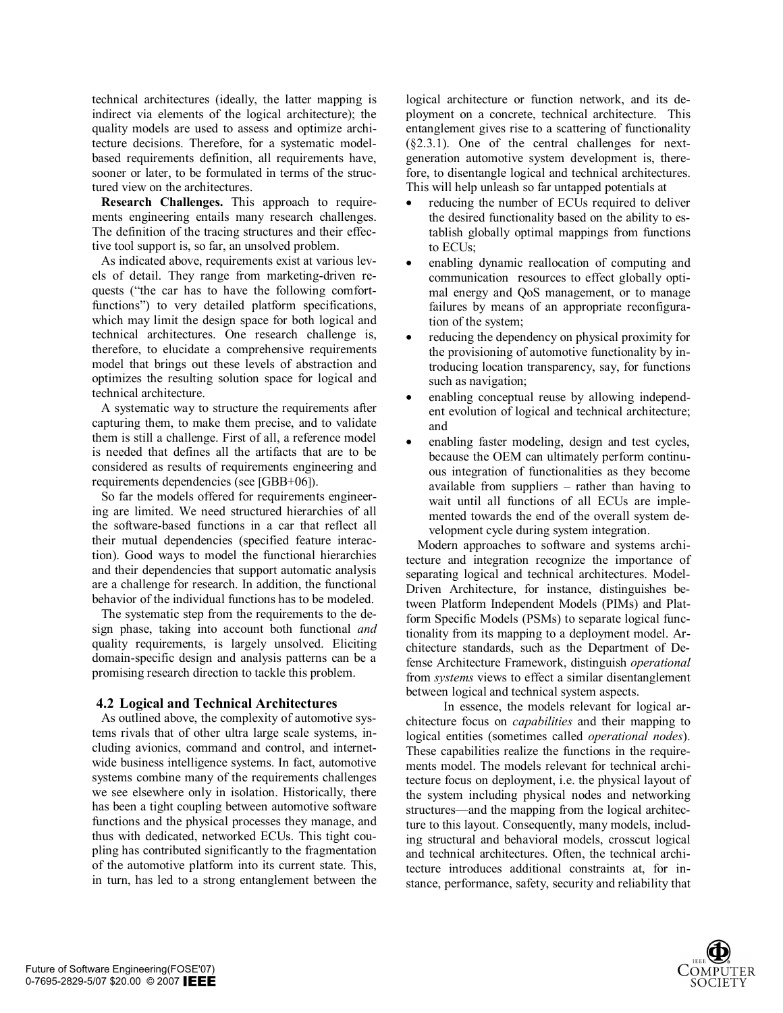technical architectures (ideally, the latter mapping is indirect via elements of the logical architecture); the quality models are used to assess and optimize architecture decisions. Therefore, for a systematic modelbased requirements definition, all requirements have, sooner or later, to be formulated in terms of the structured view on the architectures.

**Research Challenges.** This approach to requirements engineering entails many research challenges. The definition of the tracing structures and their effective tool support is, so far, an unsolved problem.

As indicated above, requirements exist at various levels of detail. They range from marketing-driven requests ("the car has to have the following comfortfunctions") to very detailed platform specifications, which may limit the design space for both logical and technical architectures. One research challenge is, therefore, to elucidate a comprehensive requirements model that brings out these levels of abstraction and optimizes the resulting solution space for logical and technical architecture.

A systematic way to structure the requirements after capturing them, to make them precise, and to validate them is still a challenge. First of all, a reference model is needed that defines all the artifacts that are to be considered as results of requirements engineering and requirements dependencies (see [GBB+06]).

So far the models offered for requirements engineering are limited. We need structured hierarchies of all the software-based functions in a car that reflect all their mutual dependencies (specified feature interaction). Good ways to model the functional hierarchies and their dependencies that support automatic analysis are a challenge for research. In addition, the functional behavior of the individual functions has to be modeled.

The systematic step from the requirements to the design phase, taking into account both functional *and* quality requirements, is largely unsolved. Eliciting domain-specific design and analysis patterns can be a promising research direction to tackle this problem.

## **4.2 Logical and Technical Architectures**

As outlined above, the complexity of automotive systems rivals that of other ultra large scale systems, including avionics, command and control, and internetwide business intelligence systems. In fact, automotive systems combine many of the requirements challenges we see elsewhere only in isolation. Historically, there has been a tight coupling between automotive software functions and the physical processes they manage, and thus with dedicated, networked ECUs. This tight coupling has contributed significantly to the fragmentation of the automotive platform into its current state. This, in turn, has led to a strong entanglement between the logical architecture or function network, and its deployment on a concrete, technical architecture. This entanglement gives rise to a scattering of functionality (§2.3.1). One of the central challenges for nextgeneration automotive system development is, therefore, to disentangle logical and technical architectures. This will help unleash so far untapped potentials at

- reducing the number of ECUs required to deliver the desired functionality based on the ability to establish globally optimal mappings from functions to ECUs;
- enabling dynamic reallocation of computing and communication resources to effect globally optimal energy and QoS management, or to manage failures by means of an appropriate reconfiguration of the system;
- reducing the dependency on physical proximity for the provisioning of automotive functionality by introducing location transparency, say, for functions such as navigation;
- enabling conceptual reuse by allowing independent evolution of logical and technical architecture; and
- enabling faster modeling, design and test cycles, because the OEM can ultimately perform continuous integration of functionalities as they become available from suppliers – rather than having to wait until all functions of all ECUs are implemented towards the end of the overall system development cycle during system integration.

Modern approaches to software and systems architecture and integration recognize the importance of separating logical and technical architectures. Model-Driven Architecture, for instance, distinguishes between Platform Independent Models (PIMs) and Platform Specific Models (PSMs) to separate logical functionality from its mapping to a deployment model. Architecture standards, such as the Department of Defense Architecture Framework, distinguish *operational* from *systems* views to effect a similar disentanglement between logical and technical system aspects.

In essence, the models relevant for logical architecture focus on *capabilities* and their mapping to logical entities (sometimes called *operational nodes*). These capabilities realize the functions in the requirements model. The models relevant for technical architecture focus on deployment, i.e. the physical layout of the system including physical nodes and networking structures—and the mapping from the logical architecture to this layout. Consequently, many models, including structural and behavioral models, crosscut logical and technical architectures. Often, the technical architecture introduces additional constraints at, for instance, performance, safety, security and reliability that

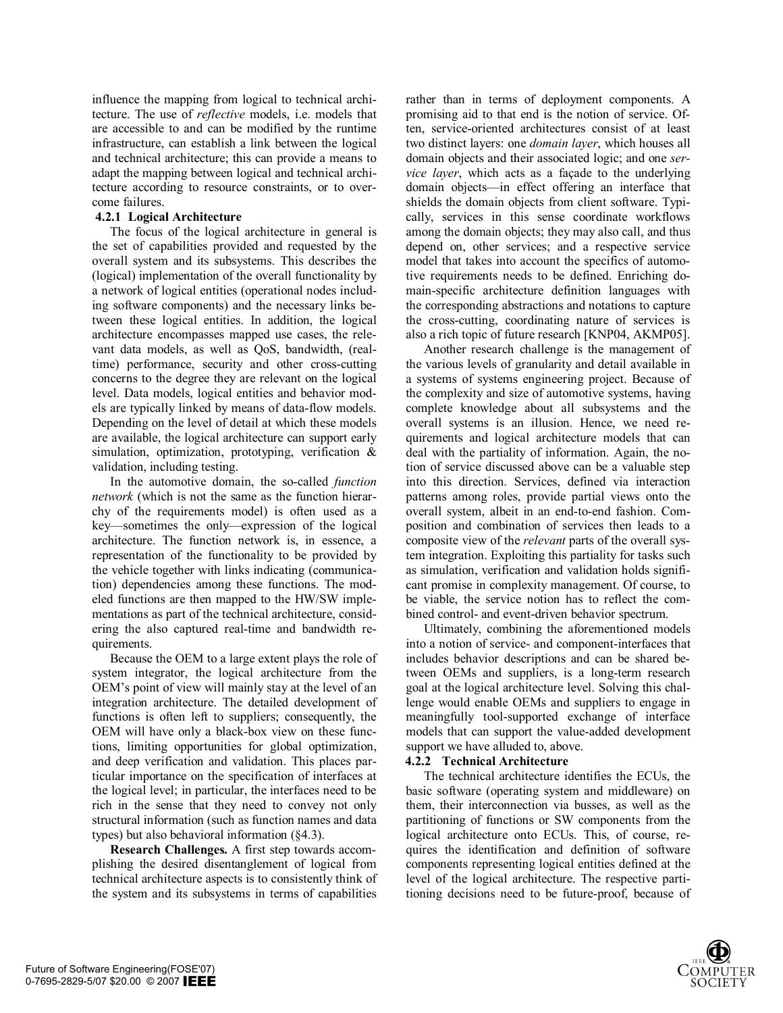influence the mapping from logical to technical architecture. The use of *reflective* models, i.e. models that are accessible to and can be modified by the runtime infrastructure, can establish a link between the logical and technical architecture; this can provide a means to adapt the mapping between logical and technical architecture according to resource constraints, or to overcome failures.

## **4.2.1 Logical Architecture**

The focus of the logical architecture in general is the set of capabilities provided and requested by the overall system and its subsystems. This describes the (logical) implementation of the overall functionality by a network of logical entities (operational nodes including software components) and the necessary links between these logical entities. In addition, the logical architecture encompasses mapped use cases, the relevant data models, as well as QoS, bandwidth, (realtime) performance, security and other cross-cutting concerns to the degree they are relevant on the logical level. Data models, logical entities and behavior models are typically linked by means of data-flow models. Depending on the level of detail at which these models are available, the logical architecture can support early simulation, optimization, prototyping, verification & validation, including testing.

In the automotive domain, the so-called *function network* (which is not the same as the function hierarchy of the requirements model) is often used as a key—sometimes the only—expression of the logical architecture. The function network is, in essence, a representation of the functionality to be provided by the vehicle together with links indicating (communication) dependencies among these functions. The modeled functions are then mapped to the HW/SW implementations as part of the technical architecture, considering the also captured real-time and bandwidth requirements.

Because the OEM to a large extent plays the role of system integrator, the logical architecture from the OEM's point of view will mainly stay at the level of an integration architecture. The detailed development of functions is often left to suppliers; consequently, the OEM will have only a black-box view on these functions, limiting opportunities for global optimization, and deep verification and validation. This places particular importance on the specification of interfaces at the logical level; in particular, the interfaces need to be rich in the sense that they need to convey not only structural information (such as function names and data types) but also behavioral information (§4.3).

**Research Challenges.** A first step towards accomplishing the desired disentanglement of logical from technical architecture aspects is to consistently think of the system and its subsystems in terms of capabilities

rather than in terms of deployment components. A promising aid to that end is the notion of service. Often, service-oriented architectures consist of at least two distinct layers: one *domain layer*, which houses all domain objects and their associated logic; and one *service layer*, which acts as a façade to the underlying domain objects—in effect offering an interface that shields the domain objects from client software. Typically, services in this sense coordinate workflows among the domain objects; they may also call, and thus depend on, other services; and a respective service model that takes into account the specifics of automotive requirements needs to be defined. Enriching domain-specific architecture definition languages with the corresponding abstractions and notations to capture the cross-cutting, coordinating nature of services is also a rich topic of future research [KNP04, AKMP05].

Another research challenge is the management of the various levels of granularity and detail available in a systems of systems engineering project. Because of the complexity and size of automotive systems, having complete knowledge about all subsystems and the overall systems is an illusion. Hence, we need requirements and logical architecture models that can deal with the partiality of information. Again, the notion of service discussed above can be a valuable step into this direction. Services, defined via interaction patterns among roles, provide partial views onto the overall system, albeit in an end-to-end fashion. Composition and combination of services then leads to a composite view of the *relevant* parts of the overall system integration. Exploiting this partiality for tasks such as simulation, verification and validation holds significant promise in complexity management. Of course, to be viable, the service notion has to reflect the combined control- and event-driven behavior spectrum.

Ultimately, combining the aforementioned models into a notion of service- and component-interfaces that includes behavior descriptions and can be shared between OEMs and suppliers, is a long-term research goal at the logical architecture level. Solving this challenge would enable OEMs and suppliers to engage in meaningfully tool-supported exchange of interface models that can support the value-added development support we have alluded to, above.

#### **4.2.2 Technical Architecture**

The technical architecture identifies the ECUs, the basic software (operating system and middleware) on them, their interconnection via busses, as well as the partitioning of functions or SW components from the logical architecture onto ECUs. This, of course, requires the identification and definition of software components representing logical entities defined at the level of the logical architecture. The respective partitioning decisions need to be future-proof, because of

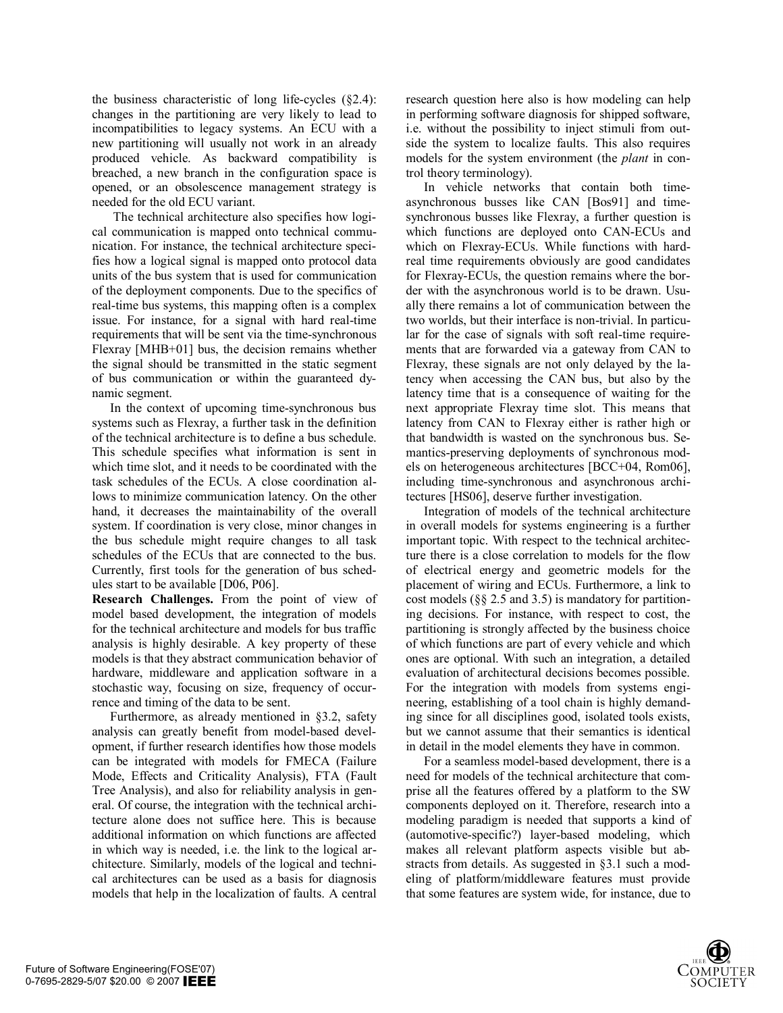the business characteristic of long life-cycles  $(\S2.4)$ : changes in the partitioning are very likely to lead to incompatibilities to legacy systems. An ECU with a new partitioning will usually not work in an already produced vehicle. As backward compatibility is breached, a new branch in the configuration space is opened, or an obsolescence management strategy is needed for the old ECU variant.

 The technical architecture also specifies how logical communication is mapped onto technical communication. For instance, the technical architecture specifies how a logical signal is mapped onto protocol data units of the bus system that is used for communication of the deployment components. Due to the specifics of real-time bus systems, this mapping often is a complex issue. For instance, for a signal with hard real-time requirements that will be sent via the time-synchronous Flexray [MHB+01] bus, the decision remains whether the signal should be transmitted in the static segment of bus communication or within the guaranteed dynamic segment.

In the context of upcoming time-synchronous bus systems such as Flexray, a further task in the definition of the technical architecture is to define a bus schedule. This schedule specifies what information is sent in which time slot, and it needs to be coordinated with the task schedules of the ECUs. A close coordination allows to minimize communication latency. On the other hand, it decreases the maintainability of the overall system. If coordination is very close, minor changes in the bus schedule might require changes to all task schedules of the ECUs that are connected to the bus. Currently, first tools for the generation of bus schedules start to be available [D06, P06].

**Research Challenges.** From the point of view of model based development, the integration of models for the technical architecture and models for bus traffic analysis is highly desirable. A key property of these models is that they abstract communication behavior of hardware, middleware and application software in a stochastic way, focusing on size, frequency of occurrence and timing of the data to be sent.

Furthermore, as already mentioned in §3.2, safety analysis can greatly benefit from model-based development, if further research identifies how those models can be integrated with models for FMECA (Failure Mode, Effects and Criticality Analysis), FTA (Fault Tree Analysis), and also for reliability analysis in general. Of course, the integration with the technical architecture alone does not suffice here. This is because additional information on which functions are affected in which way is needed, i.e. the link to the logical architecture. Similarly, models of the logical and technical architectures can be used as a basis for diagnosis models that help in the localization of faults. A central research question here also is how modeling can help in performing software diagnosis for shipped software, i.e. without the possibility to inject stimuli from outside the system to localize faults. This also requires models for the system environment (the *plant* in control theory terminology).

In vehicle networks that contain both timeasynchronous busses like CAN [Bos91] and timesynchronous busses like Flexray, a further question is which functions are deployed onto CAN-ECUs and which on Flexray-ECUs. While functions with hardreal time requirements obviously are good candidates for Flexray-ECUs, the question remains where the border with the asynchronous world is to be drawn. Usually there remains a lot of communication between the two worlds, but their interface is non-trivial. In particular for the case of signals with soft real-time requirements that are forwarded via a gateway from CAN to Flexray, these signals are not only delayed by the latency when accessing the CAN bus, but also by the latency time that is a consequence of waiting for the next appropriate Flexray time slot. This means that latency from CAN to Flexray either is rather high or that bandwidth is wasted on the synchronous bus. Semantics-preserving deployments of synchronous models on heterogeneous architectures [BCC+04, Rom06], including time-synchronous and asynchronous architectures [HS06], deserve further investigation.

Integration of models of the technical architecture in overall models for systems engineering is a further important topic. With respect to the technical architecture there is a close correlation to models for the flow of electrical energy and geometric models for the placement of wiring and ECUs. Furthermore, a link to cost models (§§ 2.5 and 3.5) is mandatory for partitioning decisions. For instance, with respect to cost, the partitioning is strongly affected by the business choice of which functions are part of every vehicle and which ones are optional. With such an integration, a detailed evaluation of architectural decisions becomes possible. For the integration with models from systems engineering, establishing of a tool chain is highly demanding since for all disciplines good, isolated tools exists, but we cannot assume that their semantics is identical in detail in the model elements they have in common.

For a seamless model-based development, there is a need for models of the technical architecture that comprise all the features offered by a platform to the SW components deployed on it. Therefore, research into a modeling paradigm is needed that supports a kind of (automotive-specific?) layer-based modeling, which makes all relevant platform aspects visible but abstracts from details. As suggested in §3.1 such a modeling of platform/middleware features must provide that some features are system wide, for instance, due to

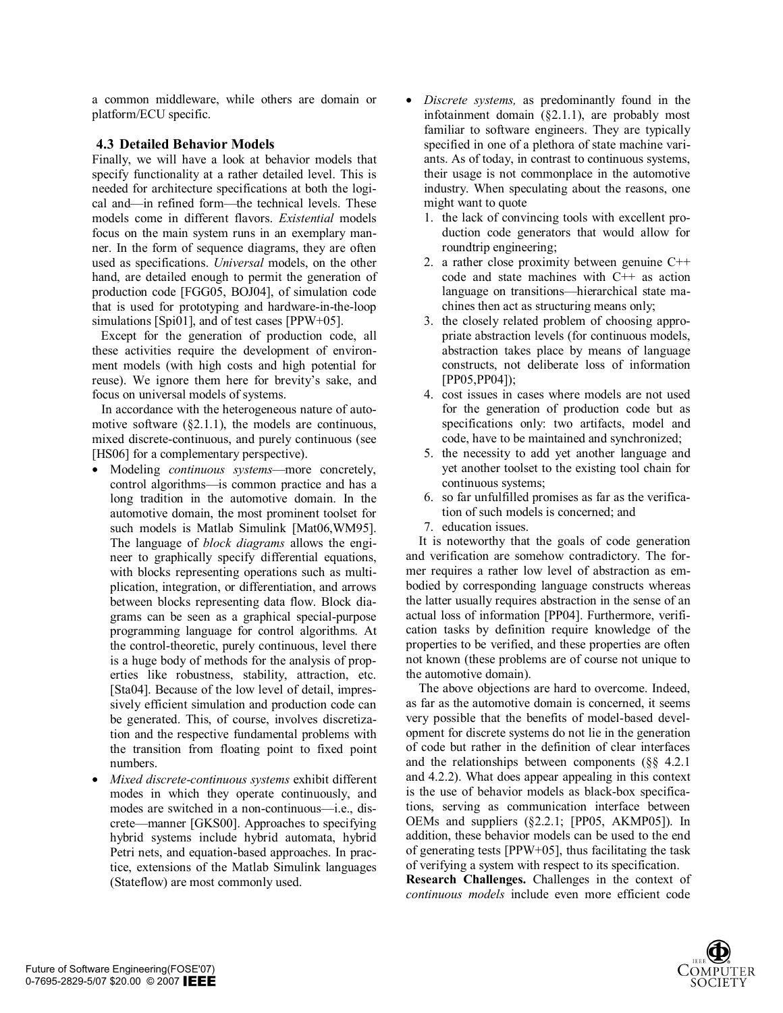a common middleware, while others are domain or platform/ECU specific.

# **4.3 Detailed Behavior Models**

Finally, we will have a look at behavior models that specify functionality at a rather detailed level. This is needed for architecture specifications at both the logical and—in refined form—the technical levels. These models come in different flavors. *Existential* models focus on the main system runs in an exemplary manner. In the form of sequence diagrams, they are often used as specifications. *Universal* models, on the other hand, are detailed enough to permit the generation of production code [FGG05, BOJ04], of simulation code that is used for prototyping and hardware-in-the-loop simulations [Spi01], and of test cases [PPW+05].

Except for the generation of production code, all these activities require the development of environment models (with high costs and high potential for reuse). We ignore them here for brevity's sake, and focus on universal models of systems.

In accordance with the heterogeneous nature of automotive software  $(\S2.1.1)$ , the models are continuous, mixed discrete-continuous, and purely continuous (see [HS06] for a complementary perspective).

- Modeling *continuous systems*—more concretely, control algorithms—is common practice and has a long tradition in the automotive domain. In the automotive domain, the most prominent toolset for such models is Matlab Simulink [Mat06,WM95]. The language of *block diagrams* allows the engineer to graphically specify differential equations, with blocks representing operations such as multiplication, integration, or differentiation, and arrows between blocks representing data flow. Block diagrams can be seen as a graphical special-purpose programming language for control algorithms. At the control-theoretic, purely continuous, level there is a huge body of methods for the analysis of properties like robustness, stability, attraction, etc. [Sta04]. Because of the low level of detail, impressively efficient simulation and production code can be generated. This, of course, involves discretization and the respective fundamental problems with the transition from floating point to fixed point numbers.
- *Mixed discrete-continuous systems* exhibit different modes in which they operate continuously, and modes are switched in a non-continuous—i.e., discrete—manner [GKS00]. Approaches to specifying hybrid systems include hybrid automata, hybrid Petri nets, and equation-based approaches. In practice, extensions of the Matlab Simulink languages (Stateflow) are most commonly used.
- *Discrete systems,* as predominantly found in the infotainment domain (§2.1.1), are probably most familiar to software engineers. They are typically specified in one of a plethora of state machine variants. As of today, in contrast to continuous systems, their usage is not commonplace in the automotive industry. When speculating about the reasons, one might want to quote
	- 1. the lack of convincing tools with excellent production code generators that would allow for roundtrip engineering;
	- 2. a rather close proximity between genuine C++ code and state machines with C++ as action language on transitions—hierarchical state machines then act as structuring means only;
	- 3. the closely related problem of choosing appropriate abstraction levels (for continuous models, abstraction takes place by means of language constructs, not deliberate loss of information [PP05,PP04]);
	- 4. cost issues in cases where models are not used for the generation of production code but as specifications only: two artifacts, model and code, have to be maintained and synchronized;
	- 5. the necessity to add yet another language and yet another toolset to the existing tool chain for continuous systems;
	- 6. so far unfulfilled promises as far as the verification of such models is concerned; and
	- 7. education issues.

It is noteworthy that the goals of code generation and verification are somehow contradictory. The former requires a rather low level of abstraction as embodied by corresponding language constructs whereas the latter usually requires abstraction in the sense of an actual loss of information [PP04]. Furthermore, verification tasks by definition require knowledge of the properties to be verified, and these properties are often not known (these problems are of course not unique to the automotive domain).

The above objections are hard to overcome. Indeed, as far as the automotive domain is concerned, it seems very possible that the benefits of model-based development for discrete systems do not lie in the generation of code but rather in the definition of clear interfaces and the relationships between components (§§ 4.2.1 and 4.2.2). What does appear appealing in this context is the use of behavior models as black-box specifications, serving as communication interface between OEMs and suppliers (§2.2.1; [PP05, AKMP05]). In addition, these behavior models can be used to the end of generating tests [PPW+05], thus facilitating the task of verifying a system with respect to its specification. **Research Challenges.** Challenges in the context of

*continuous models* include even more efficient code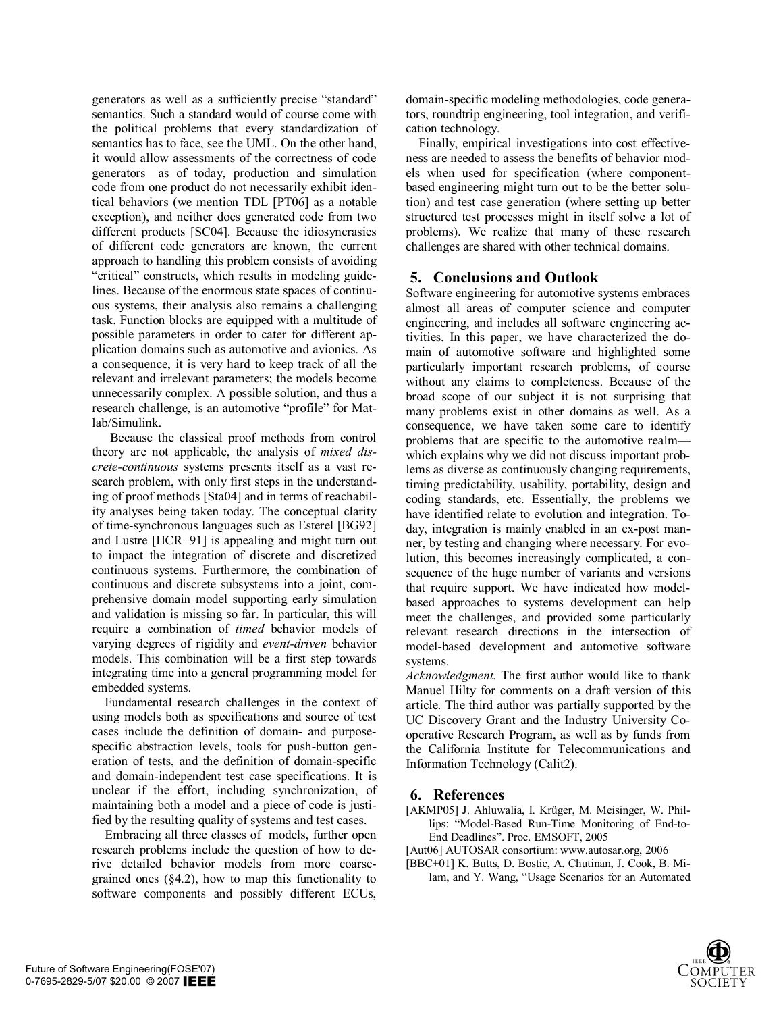generators as well as a sufficiently precise "standard" semantics. Such a standard would of course come with the political problems that every standardization of semantics has to face, see the UML. On the other hand, it would allow assessments of the correctness of code generators—as of today, production and simulation code from one product do not necessarily exhibit identical behaviors (we mention TDL [PT06] as a notable exception), and neither does generated code from two different products [SC04]. Because the idiosyncrasies of different code generators are known, the current approach to handling this problem consists of avoiding "critical" constructs, which results in modeling guidelines. Because of the enormous state spaces of continuous systems, their analysis also remains a challenging task. Function blocks are equipped with a multitude of possible parameters in order to cater for different application domains such as automotive and avionics. As a consequence, it is very hard to keep track of all the relevant and irrelevant parameters; the models become unnecessarily complex. A possible solution, and thus a research challenge, is an automotive "profile" for Matlab/Simulink.

Because the classical proof methods from control theory are not applicable, the analysis of *mixed discrete-continuous* systems presents itself as a vast research problem, with only first steps in the understanding of proof methods [Sta04] and in terms of reachability analyses being taken today. The conceptual clarity of time-synchronous languages such as Esterel [BG92] and Lustre [HCR+91] is appealing and might turn out to impact the integration of discrete and discretized continuous systems. Furthermore, the combination of continuous and discrete subsystems into a joint, comprehensive domain model supporting early simulation and validation is missing so far. In particular, this will require a combination of *timed* behavior models of varying degrees of rigidity and *event-driven* behavior models. This combination will be a first step towards integrating time into a general programming model for embedded systems.

Fundamental research challenges in the context of using models both as specifications and source of test cases include the definition of domain- and purposespecific abstraction levels, tools for push-button generation of tests, and the definition of domain-specific and domain-independent test case specifications. It is unclear if the effort, including synchronization, of maintaining both a model and a piece of code is justified by the resulting quality of systems and test cases.

Embracing all three classes of models, further open research problems include the question of how to derive detailed behavior models from more coarsegrained ones (§4.2), how to map this functionality to software components and possibly different ECUs,

domain-specific modeling methodologies, code generators, roundtrip engineering, tool integration, and verification technology.

Finally, empirical investigations into cost effectiveness are needed to assess the benefits of behavior models when used for specification (where componentbased engineering might turn out to be the better solution) and test case generation (where setting up better structured test processes might in itself solve a lot of problems). We realize that many of these research challenges are shared with other technical domains.

# **5. Conclusions and Outlook**

Software engineering for automotive systems embraces almost all areas of computer science and computer engineering, and includes all software engineering activities. In this paper, we have characterized the domain of automotive software and highlighted some particularly important research problems, of course without any claims to completeness. Because of the broad scope of our subject it is not surprising that many problems exist in other domains as well. As a consequence, we have taken some care to identify problems that are specific to the automotive realm which explains why we did not discuss important problems as diverse as continuously changing requirements, timing predictability, usability, portability, design and coding standards, etc. Essentially, the problems we have identified relate to evolution and integration. Today, integration is mainly enabled in an ex-post manner, by testing and changing where necessary. For evolution, this becomes increasingly complicated, a consequence of the huge number of variants and versions that require support. We have indicated how modelbased approaches to systems development can help meet the challenges, and provided some particularly relevant research directions in the intersection of model-based development and automotive software systems.

*Acknowledgment.* The first author would like to thank Manuel Hilty for comments on a draft version of this article. The third author was partially supported by the UC Discovery Grant and the Industry University Cooperative Research Program, as well as by funds from the California Institute for Telecommunications and Information Technology (Calit2).

# **6. References**

- [AKMP05] J. Ahluwalia, I. Krüger, M. Meisinger, W. Phillips: "Model-Based Run-Time Monitoring of End-to-End Deadlines". Proc. EMSOFT, 2005
- [Aut06] AUTOSAR consortium: www.autosar.org, 2006
- [BBC+01] K. Butts, D. Bostic, A. Chutinan, J. Cook, B. Milam, and Y. Wang, "Usage Scenarios for an Automated